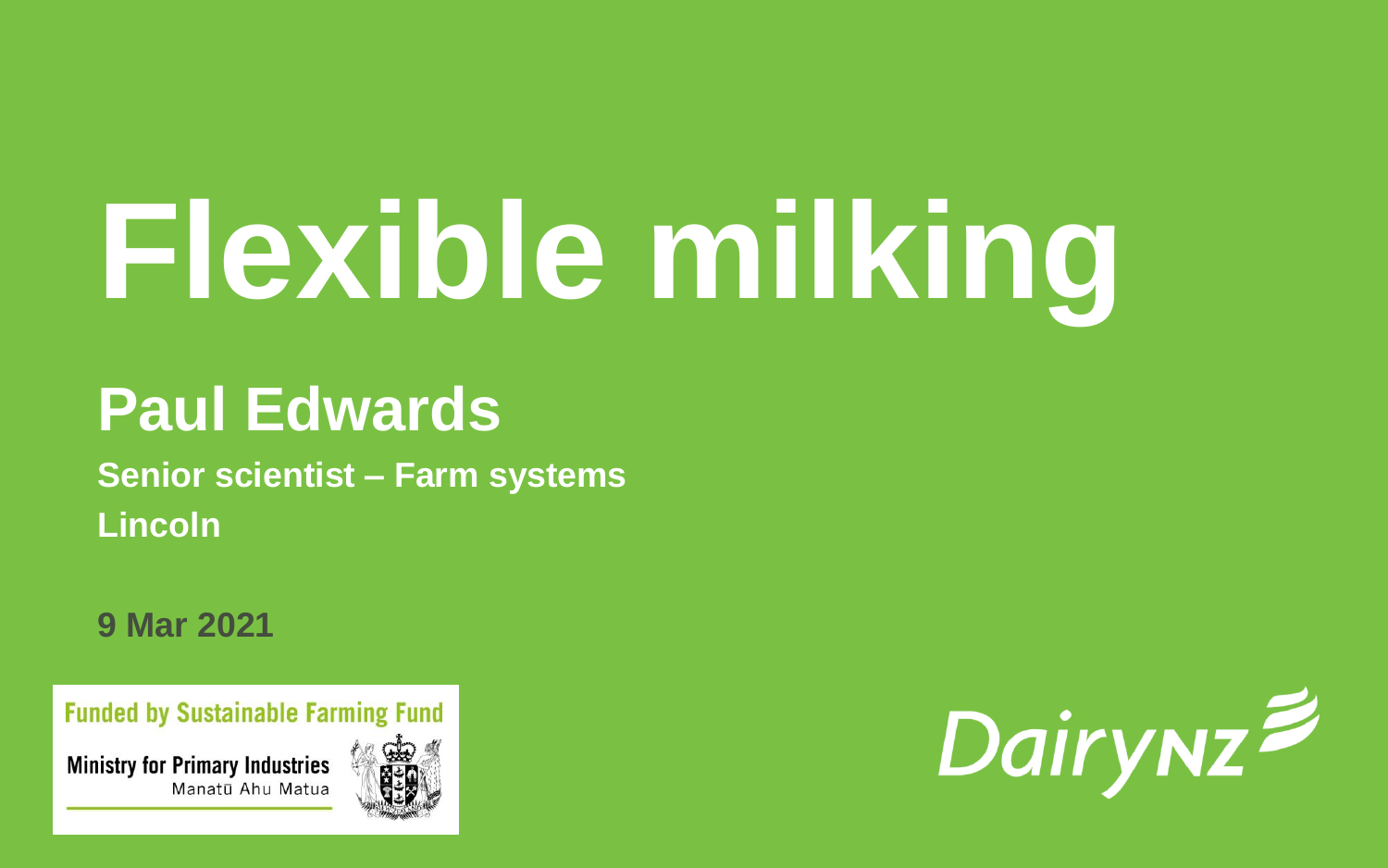# **Flexible milking**

#### **Paul Edwards**

**Senior scientist – Farm systems Lincoln**

**9 Mar 2021**

**Funded by Sustainable Farming Fund** 

**Ministry for Primary Industries** Manatū Ahu Matua



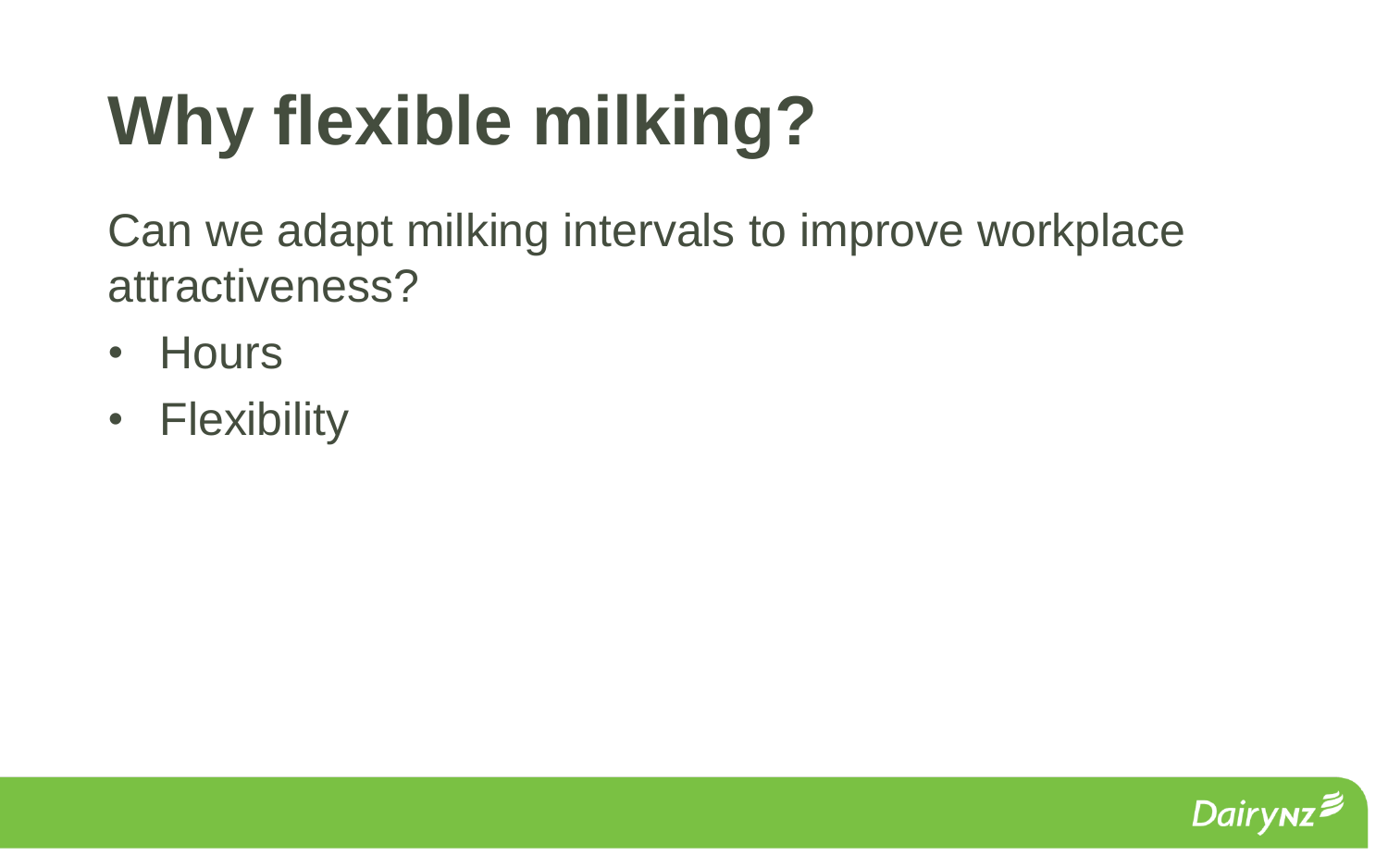## **Why flexible milking?**

Can we adapt milking intervals to improve workplace attractiveness?

- Hours
- Flexibility

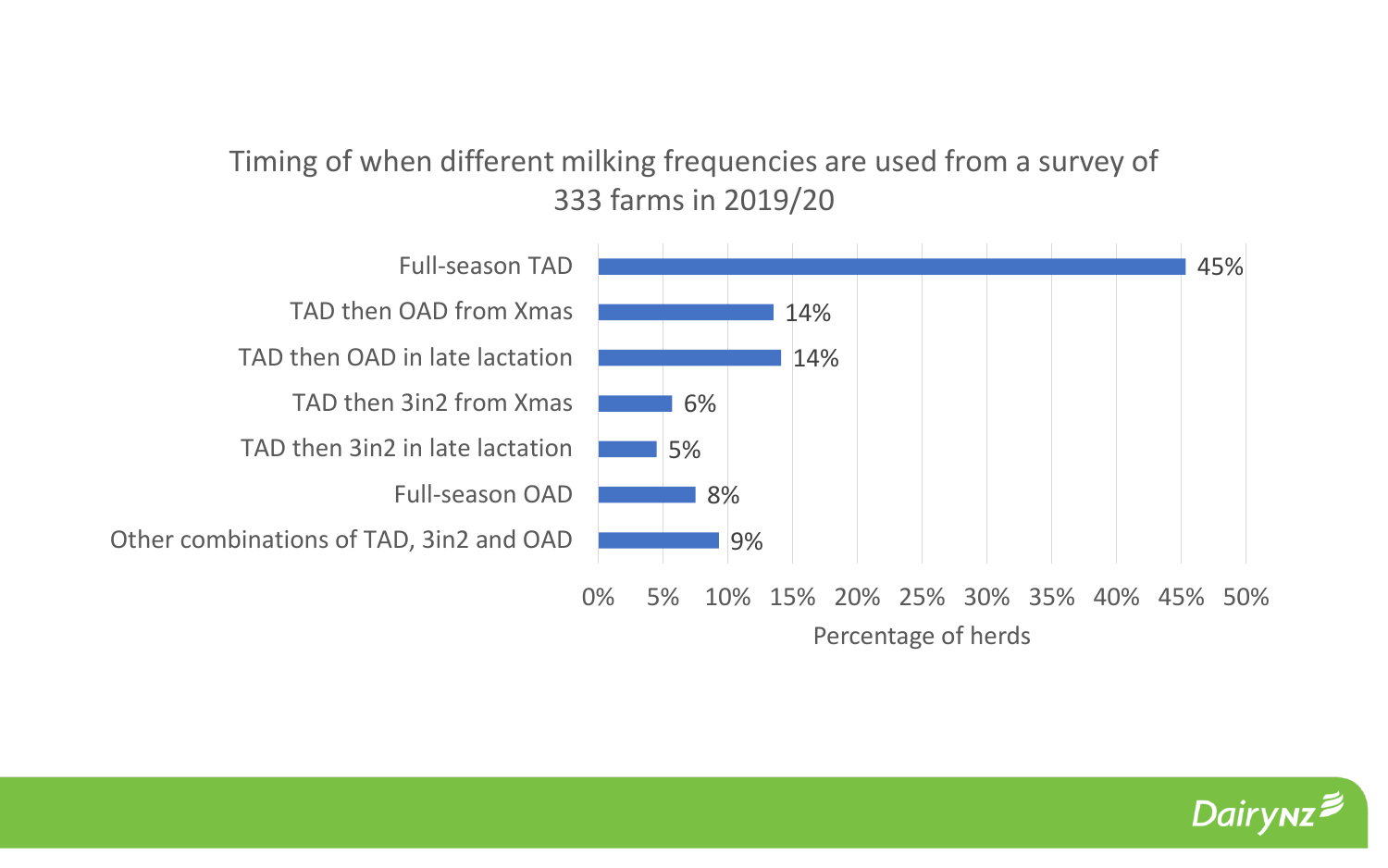#### Timing of when different milking frequencies are used from a survey of 333 farms in 2019/20



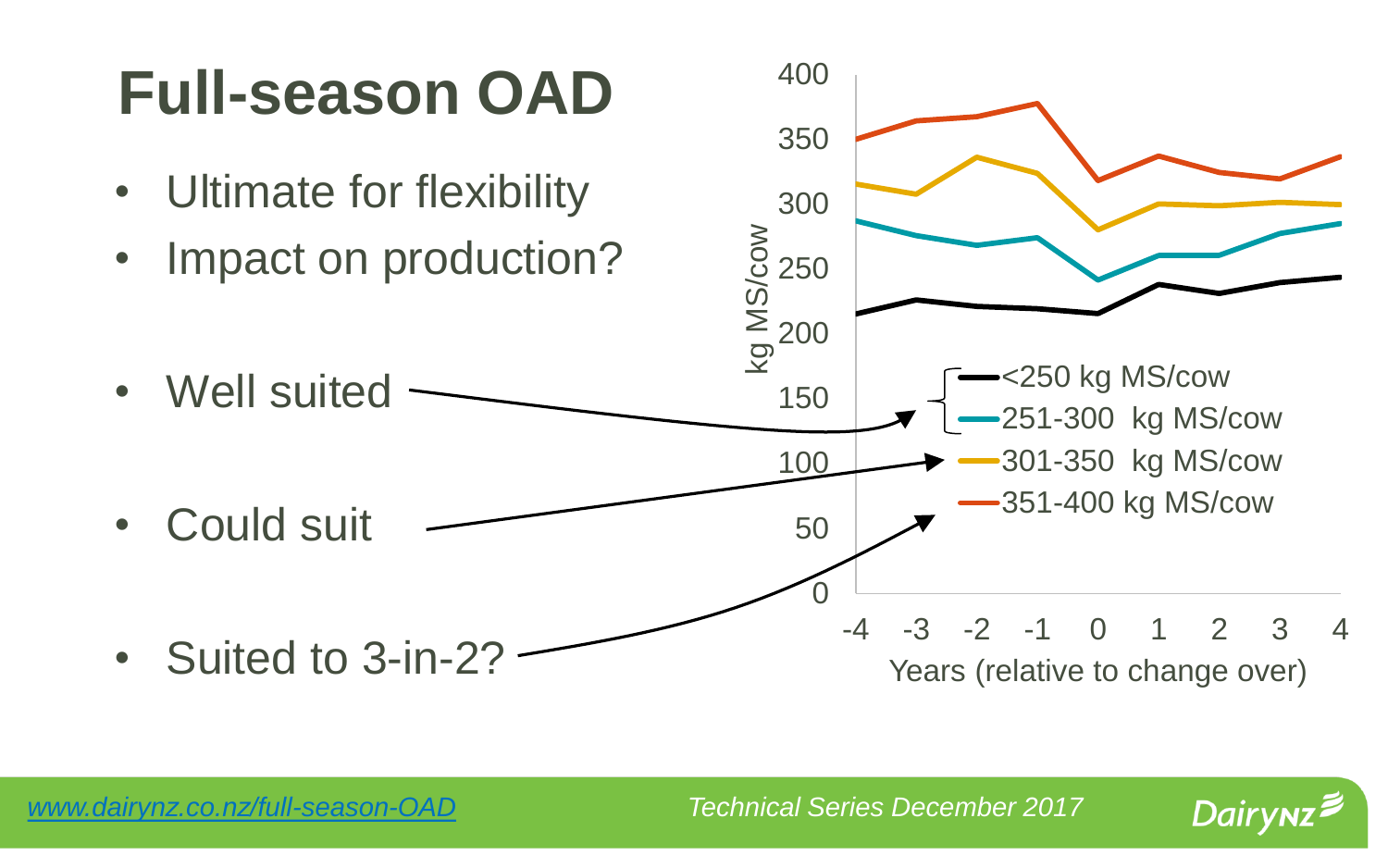#### **Full-season OAD**

- Ultimate for flexibility
- Impact on production?
- Well suited

• Could suit

• Suited to 3-in-2?



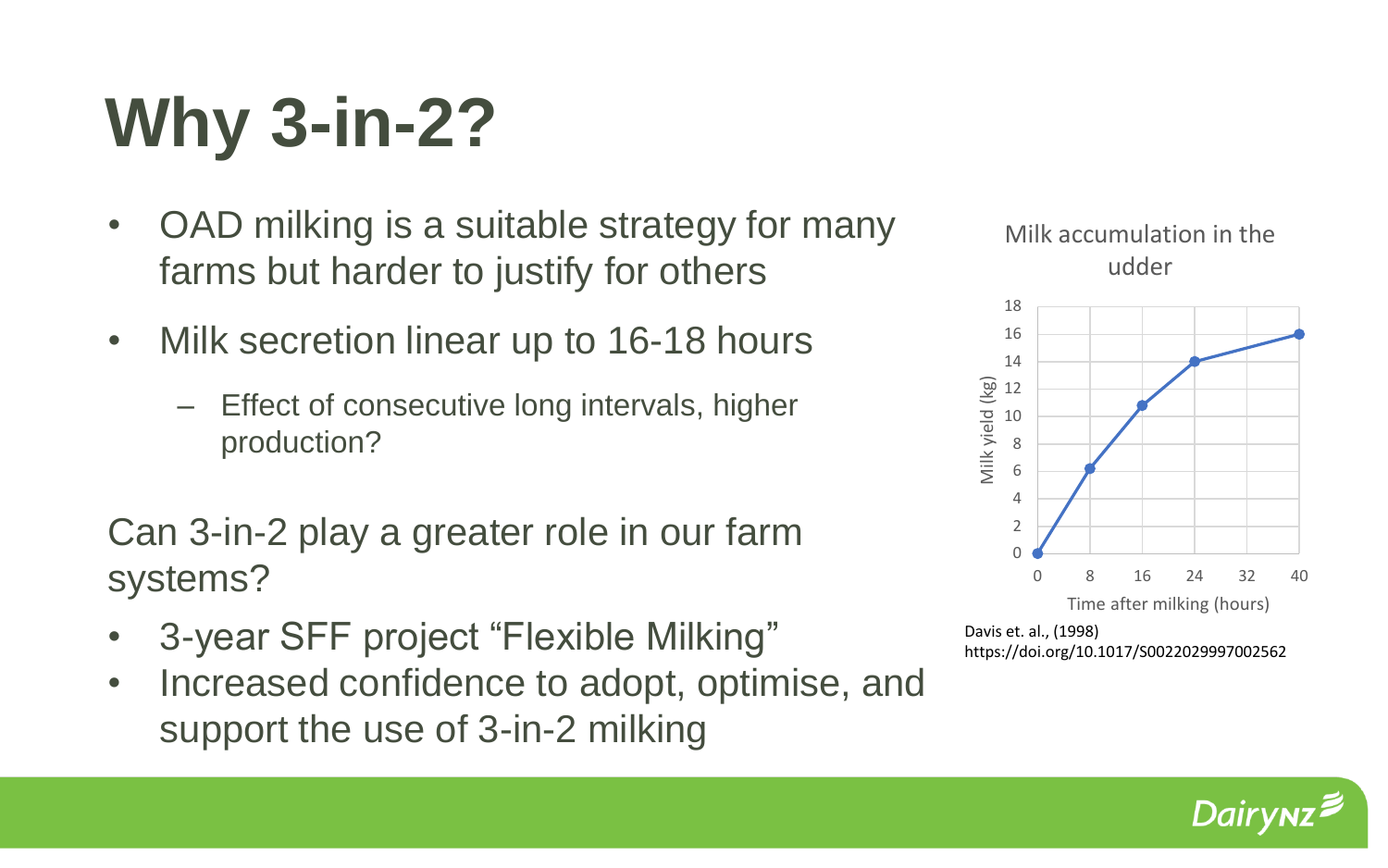### **Why 3-in-2?**

- OAD milking is a suitable strategy for many farms but harder to justify for others
- Milk secretion linear up to 16-18 hours
	- Effect of consecutive long intervals, higher production?

Can 3-in-2 play a greater role in our farm systems?

- 3-year SFF project "Flexible Milking"
- Increased confidence to adopt, optimise, and support the use of 3-in-2 milking





Davis et. al., (1998) https://doi.org/10.1017/S0022029997002562

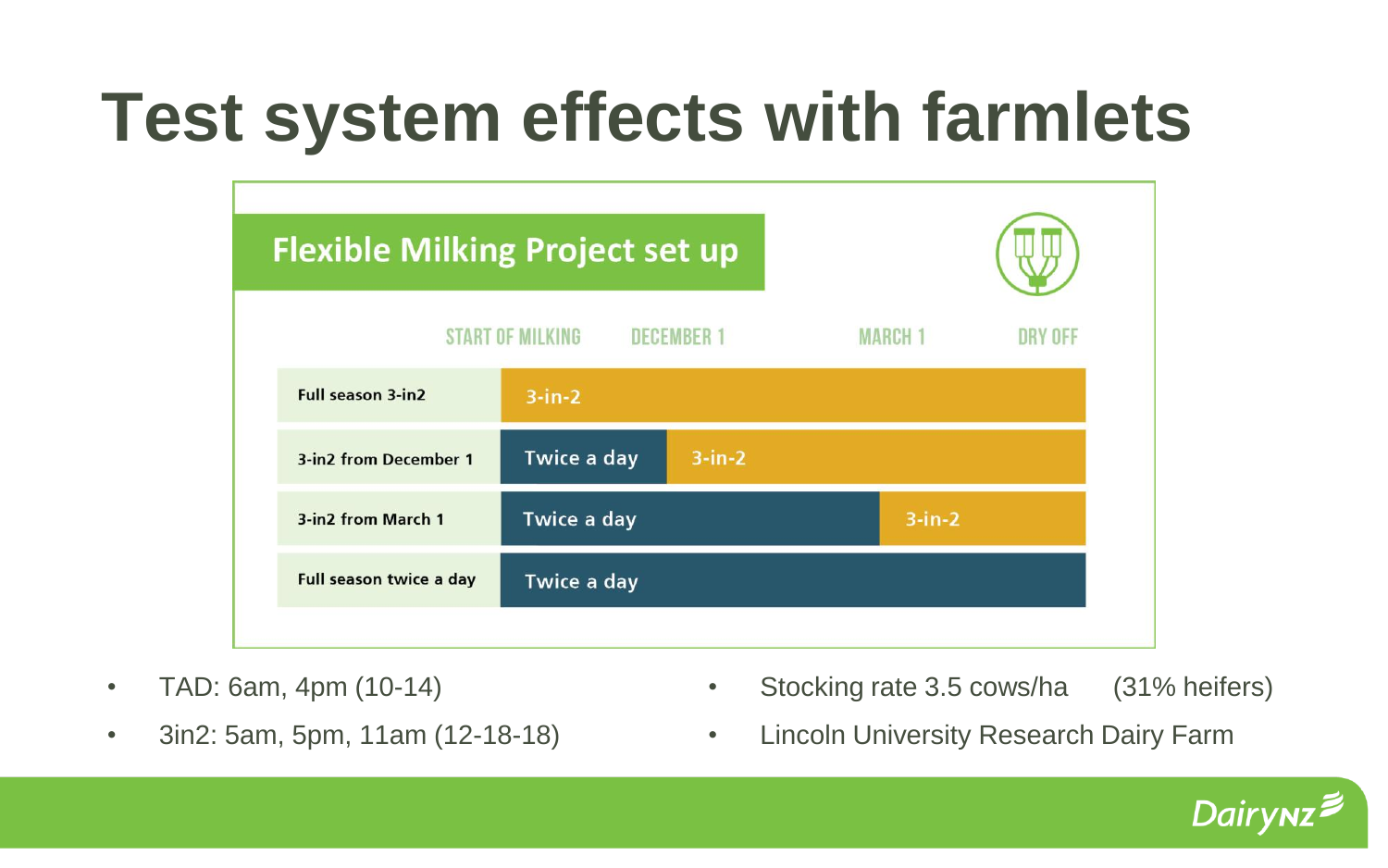### **Test system effects with farmlets**



- TAD: 6am, 4pm (10-14)
- 3in2: 5am, 5pm, 11am (12-18-18)
- Stocking rate 3.5 cows/ha (31% heifers)
- Lincoln University Research Dairy Farm

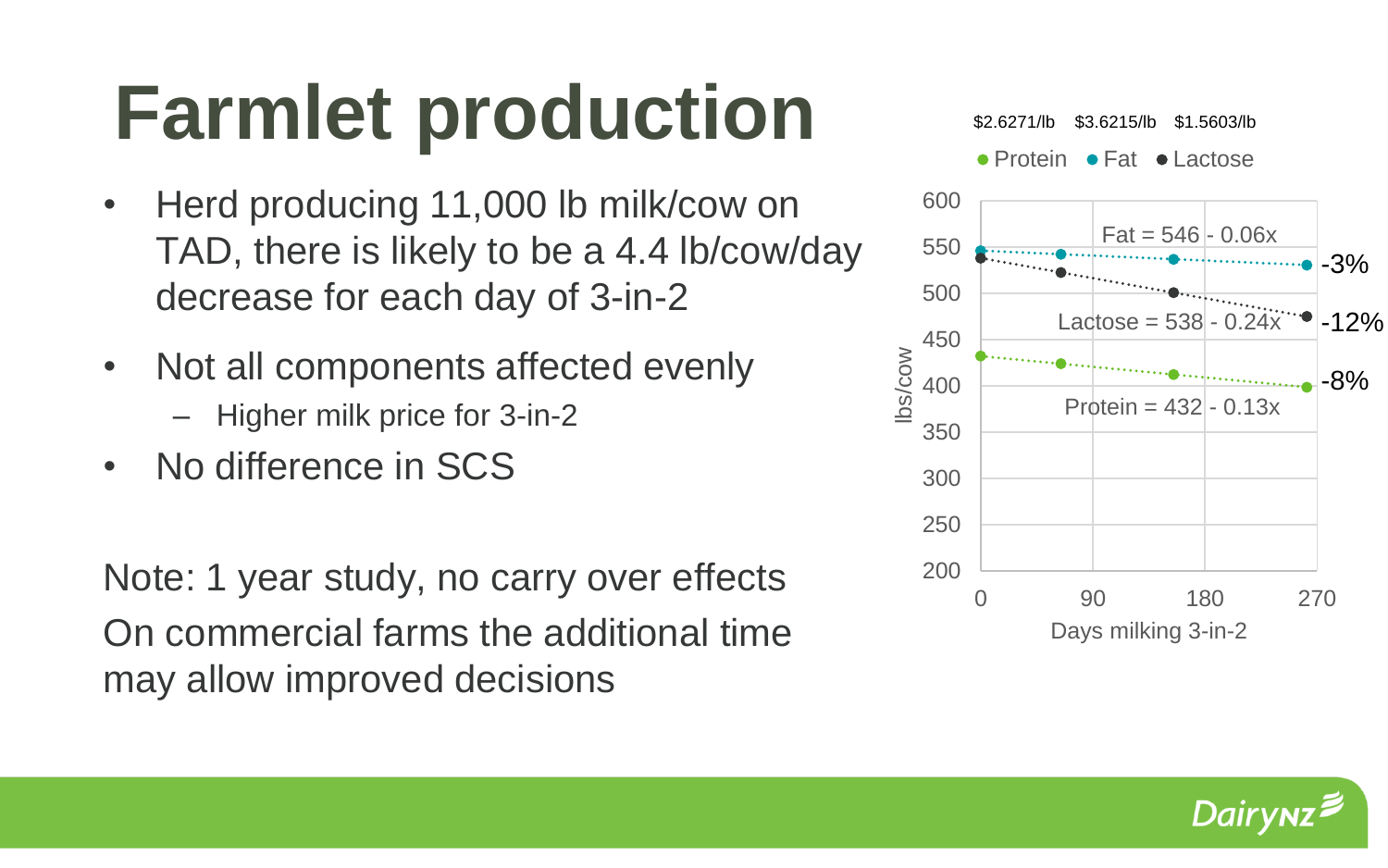# **Farmlet production**

- Herd producing 11,000 lb milk/cow on TAD, there is likely to be a 4.4 lb/cow/day decrease for each day of 3-in-2
- Not all components affected evenly
	- Higher milk price for 3-in-2
- No difference in SCS

Note: 1 year study, no carry over effects On commercial farms the additional time may allow improved decisions



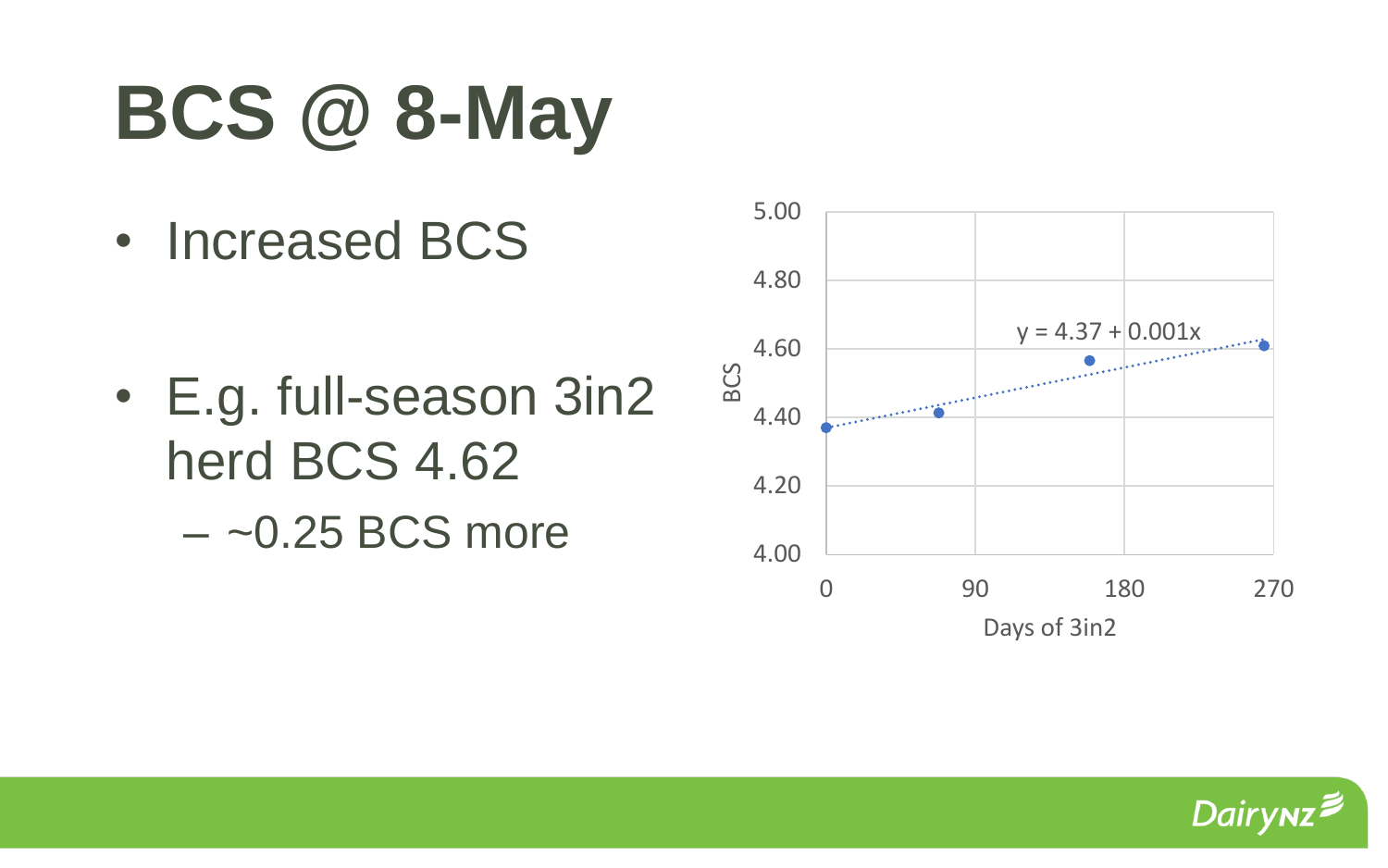# **BCS @ 8-May**

• Increased BCS

• E.g. full-season 3in2 herd BCS 4.62  $-$  ~0.25 BCS more



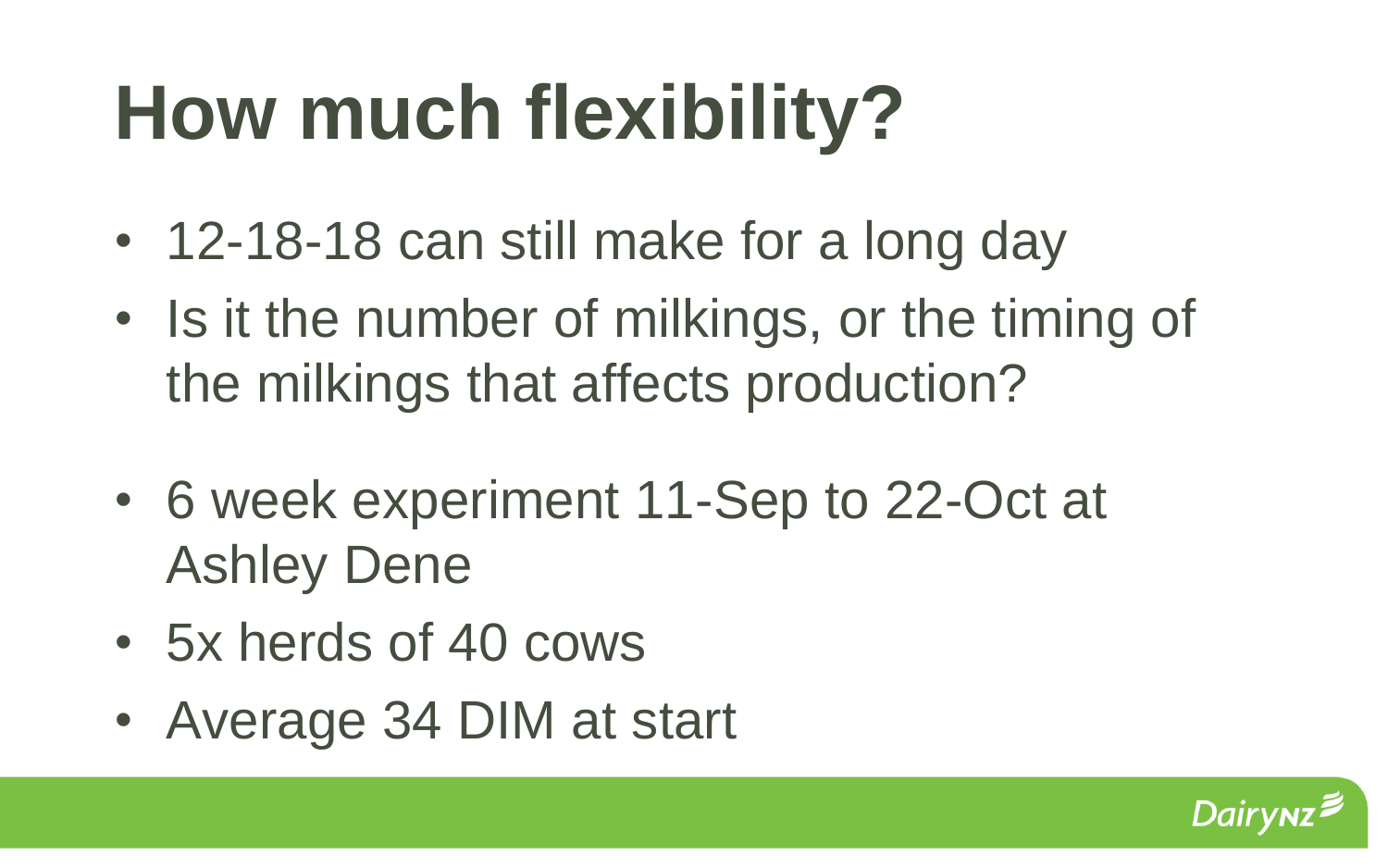# **How much flexibility?**

- 12-18-18 can still make for a long day
- Is it the number of milkings, or the timing of the milkings that affects production?
- 6 week experiment 11-Sep to 22-Oct at Ashley Dene
- 5x herds of 40 cows
- Average 34 DIM at start

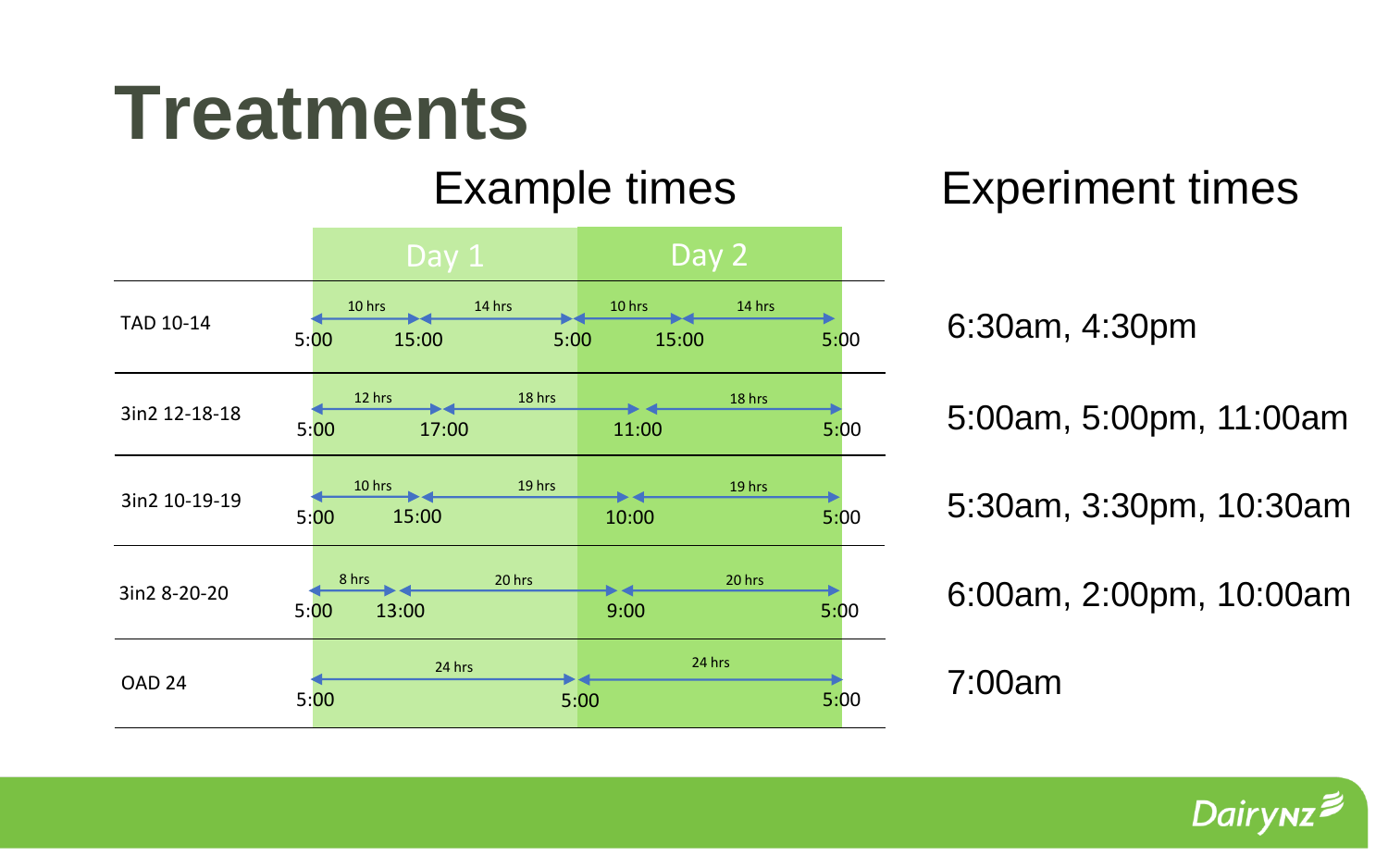### **Treatments**



Example times Experiment times

5:00am, 5:00pm, 11:00am

5:30am, 3:30pm, 10:30am

6:00am, 2:00pm, 10:00am

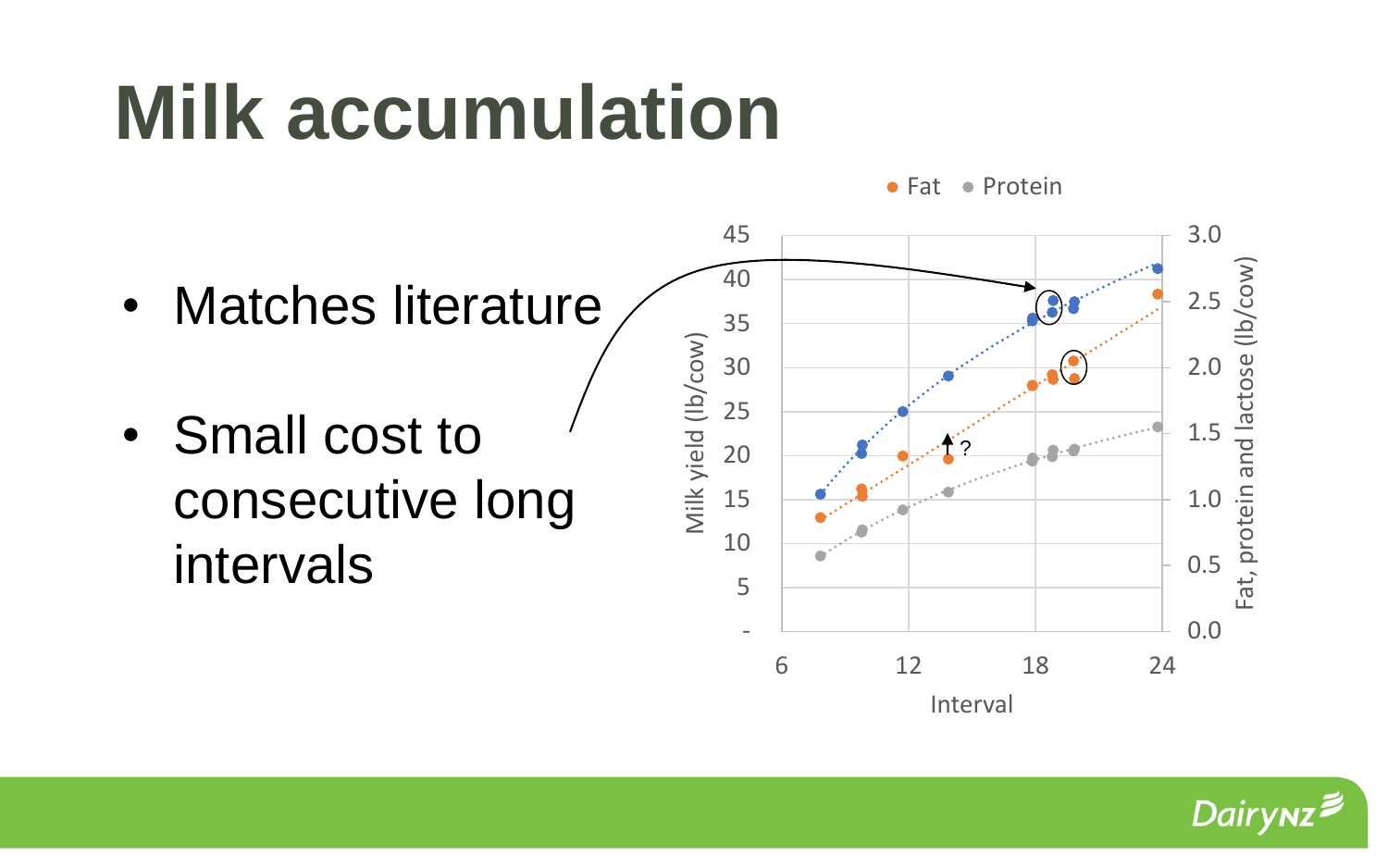## **Milk accumulation**



• Small cost to consecutive long intervals



• Fat • Protein

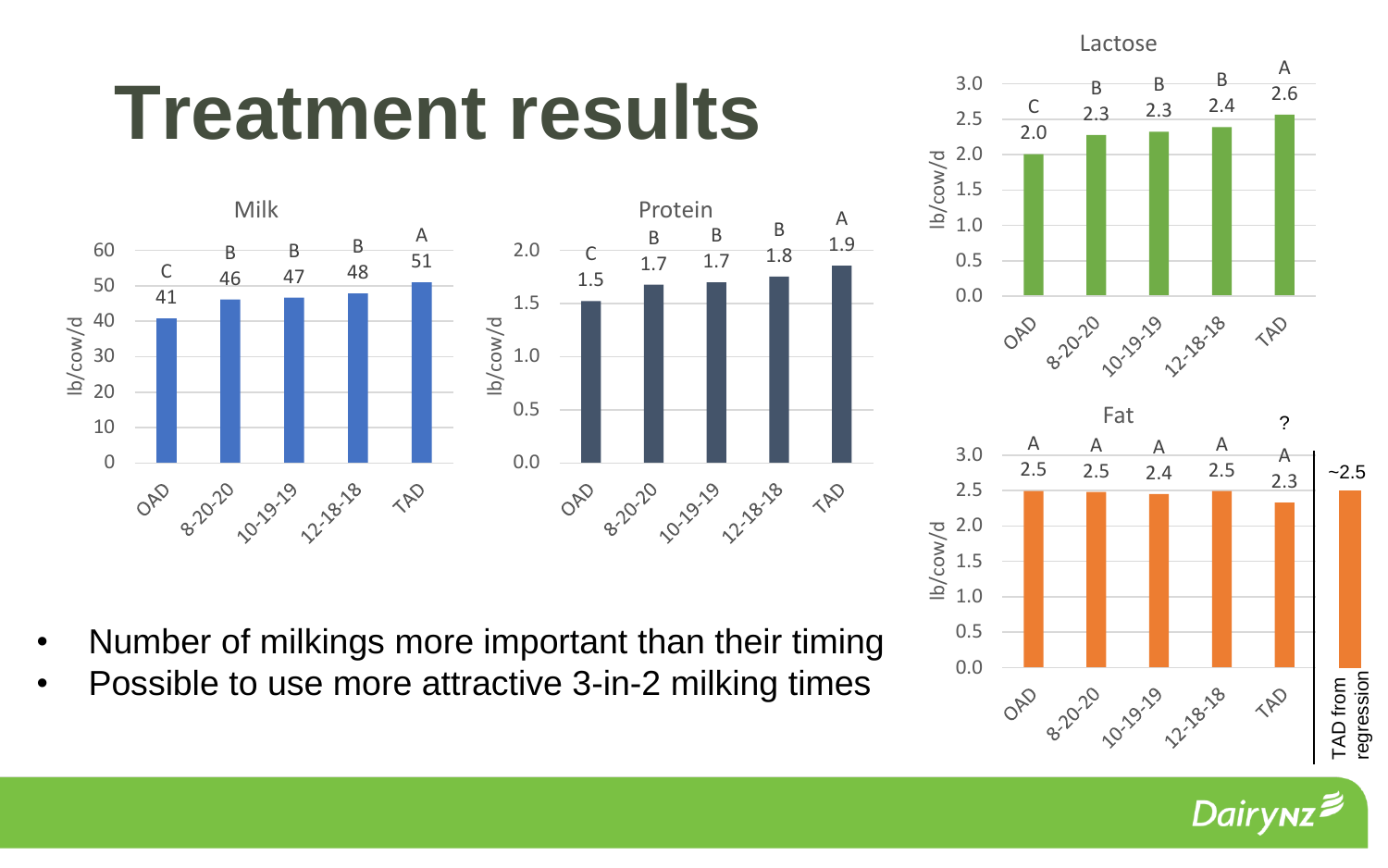### **Treatment results**



- Number of milkings more important than their timing
- Possible to use more attractive 3-in-2 milking times



Dair<sub>)</sub>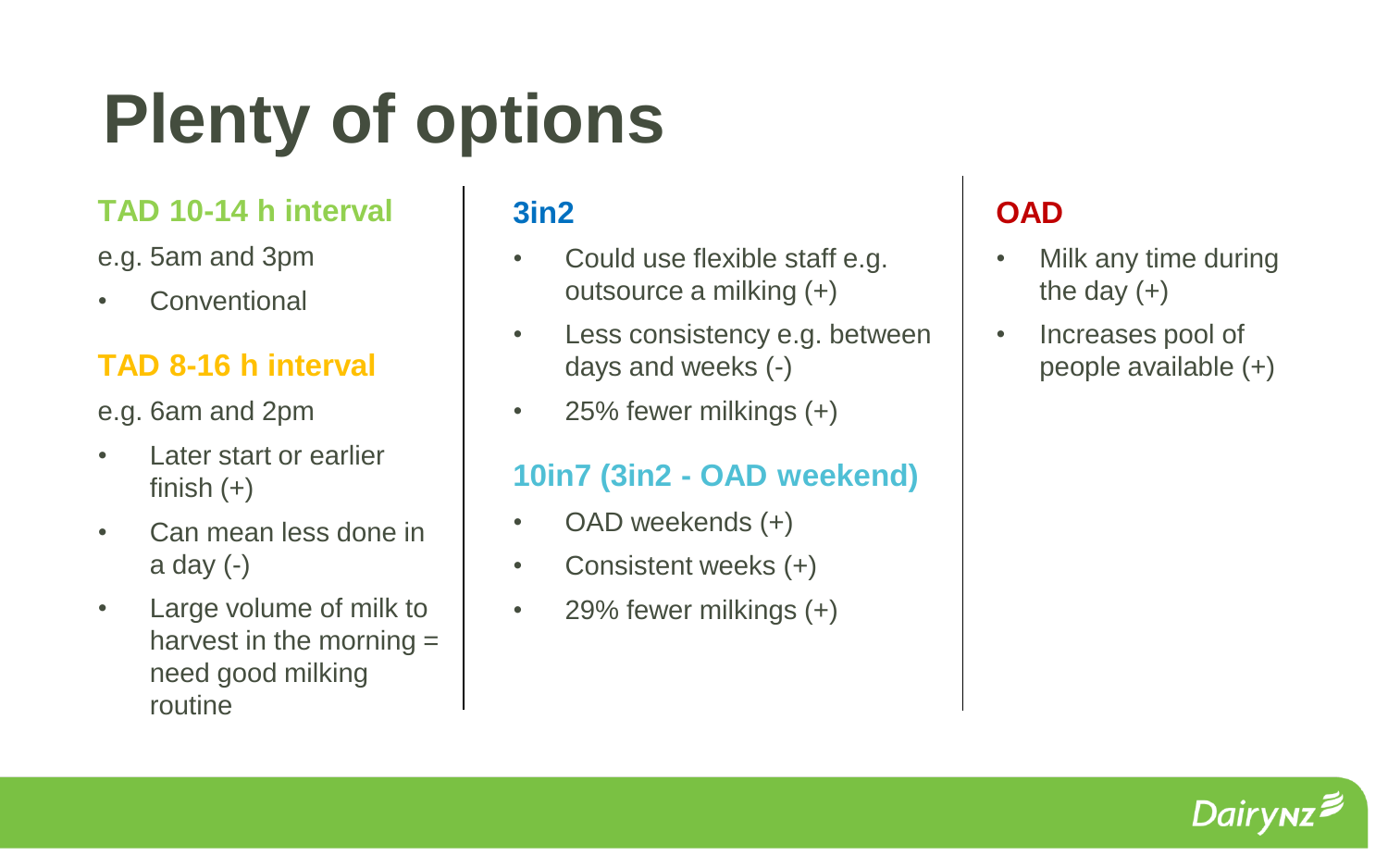### **Plenty of options**

#### **TAD 10-14 h interval**

e.g. 5am and 3pm

• Conventional

#### **TAD 8-16 h interval**

e.g. 6am and 2pm

- Later start or earlier finish  $(+)$
- Can mean less done in a day  $(-)$
- Large volume of milk to harvest in the morning  $=$ need good milking routine

#### **3in2**

- Could use flexible staff e.g. outsource a milking (+)
- Less consistency e.g. between days and weeks (-)
- 25% fewer milkings (+)

#### **10in7 (3in2 - OAD weekend)**

- OAD weekends (+)
- Consistent weeks (+)
- 29% fewer milkings (+)

#### **OAD**

- Milk any time during the day  $(+)$
- Increases pool of people available (+)